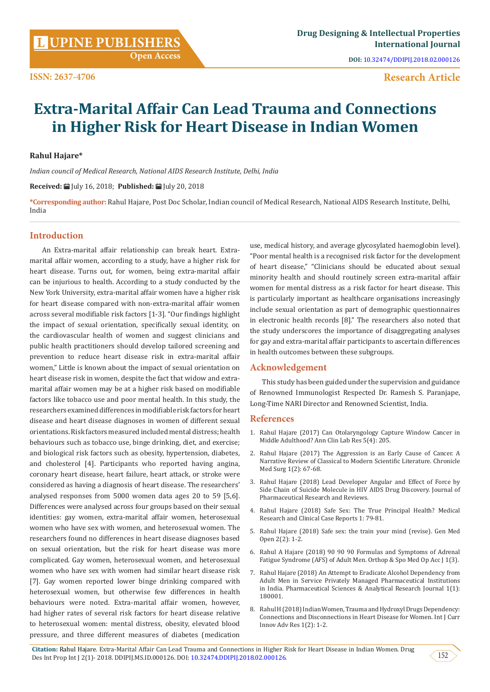# **Research Article**

# **Extra-Marital Affair Can Lead Trauma and Connections in Higher Risk for Heart Disease in Indian Women**

#### **Rahul Hajare\***

*Indian council of Medical Research, National AIDS Research Institute, Delhi, India*

**Received:** July 16, 2018; **Published:** July 20, 2018

**\*Corresponding author:** Rahul Hajare, Post Doc Scholar, Indian council of Medical Research, National AIDS Research Institute, Delhi, India

## **Introduction**

An Extra-marital affair relationship can break heart. Extramarital affair women, according to a study, have a higher risk for heart disease. Turns out, for women, being extra-marital affair can be injurious to health. According to a study conducted by the New York University, extra-marital affair women have a higher risk for heart disease compared with non-extra-marital affair women across several modifiable risk factors [1-3]. "Our findings highlight the impact of sexual orientation, specifically sexual identity, on the cardiovascular health of women and suggest clinicians and public health practitioners should develop tailored screening and prevention to reduce heart disease risk in extra-marital affair women," Little is known about the impact of sexual orientation on heart disease risk in women, despite the fact that widow and extramarital affair women may be at a higher risk based on modifiable factors like tobacco use and poor mental health. In this study, the researchers examined differences in modifiable risk factors for heart disease and heart disease diagnoses in women of different sexual orientations. Risk factors measured included mental distress; health behaviours such as tobacco use, binge drinking, diet, and exercise; and biological risk factors such as obesity, hypertension, diabetes, and cholesterol [4]. Participants who reported having angina, coronary heart disease, heart failure, heart attack, or stroke were considered as having a diagnosis of heart disease. The researchers' analysed responses from 5000 women data ages 20 to 59 [5,6]. Differences were analysed across four groups based on their sexual identities: gay women, extra-marital affair women, heterosexual women who have sex with women, and heterosexual women. The researchers found no differences in heart disease diagnoses based on sexual orientation, but the risk for heart disease was more complicated. Gay women, heterosexual women, and heterosexual women who have sex with women had similar heart disease risk [7]. Gay women reported lower binge drinking compared with heterosexual women, but otherwise few differences in health behaviours were noted. Extra-marital affair women, however, had higher rates of several risk factors for heart disease relative to heterosexual women: mental distress, obesity, elevated blood pressure, and three different measures of diabetes (medication use, medical history, and average glycosylated haemoglobin level). "Poor mental health is a recognised risk factor for the development of heart disease," "Clinicians should be educated about sexual minority health and should routinely screen extra-marital affair women for mental distress as a risk factor for heart disease. This is particularly important as healthcare organisations increasingly include sexual orientation as part of demographic questionnaires in electronic health records [8]." The researchers also noted that the study underscores the importance of disaggregating analyses for gay and extra-marital affair participants to ascertain differences in health outcomes between these subgroups.

# **Acknowledgement**

This study has been guided under the supervision and guidance of Renowned Immunologist Respected Dr. Ramesh S. Paranjape, Long-Time NARI Director and Renowned Scientist, India.

#### **References**

- 1. [Rahul Hajare \(2017\) Can Otolaryngology Capture Window Cancer in](http://www.aclr.com.es/clinical-research/can-otolaryngology-capture-window-cancer-in-middle-adulthood.pdf) [Middle Adulthood? Ann Clin Lab Res 5\(4\): 205.](http://www.aclr.com.es/clinical-research/can-otolaryngology-capture-window-cancer-in-middle-adulthood.pdf)
- 2. [Rahul Hajare \(2017\) The Aggression is an Early Cause of Cancer. A](https://scientiaricerca.com/srcoms/SRCOMS-01-00010.php) [Narrative Review of Classical to Modern Scientific Literature. Chronicle](https://scientiaricerca.com/srcoms/SRCOMS-01-00010.php) [Med Surg 1\(2\): 67-68.](https://scientiaricerca.com/srcoms/SRCOMS-01-00010.php)
- 3. Rahul Hajare (2018) Lead Developer Angular and Effect of Force by Side Chain of Suicide Molecule in HIV AIDS Drug Discovery. Journal of Pharmaceutical Research and Reviews.
- 4. [Rahul Hajare \(2018\) Safe Sex: The True Principal Health? Medical](https://scientiaricerca.com/srmrcr/SRMRCR-01-00012.php) [Research and Clinical Case Reports 1: 79-81.](https://scientiaricerca.com/srmrcr/SRMRCR-01-00012.php)
- 5. [Rahul Hajare \(2018\) Safe sex: the train your mind \(revise\). Gen Med](http://www.oatext.com/safe-sex-the-train-your-mind-revise.php) [Open 2\(2\): 1-2.](http://www.oatext.com/safe-sex-the-train-your-mind-revise.php)
- 6. [Rahul A Hajare \(2018\) 90 90 90 Formulas and Symptoms of Adrenal](http://www.lupinepublishers.com/osmoaj/pdf/OSMOAJ.MS.ID.000111.pdf) [Fatigue Syndrome \(AFS\) of Adult Men. Orthop & Spo Med Op Acc J 1\(3\).](http://www.lupinepublishers.com/osmoaj/pdf/OSMOAJ.MS.ID.000111.pdf)
- 7. [Rahul Hajare \(2018\) An Attempt to Eradicate Alcohol Dependency from](http://chembiopublishers.com/PSARJ/PSARJ180001.pdf) [Adult Men in Service Privately Managed Pharmaceutical Institutions](http://chembiopublishers.com/PSARJ/PSARJ180001.pdf) [in India. Pharmaceutical Sciences & Analytical Research Journal 1\(1\):](http://chembiopublishers.com/PSARJ/PSARJ180001.pdf) [180001.](http://chembiopublishers.com/PSARJ/PSARJ180001.pdf)
- 8. Rahul H (2018) Indian Women, Trauma and Hydroxyl Drugs Dependency: Connections and Disconnections in Heart Disease for Women. Int J Curr Innov Adv Res 1(2): 1-2.